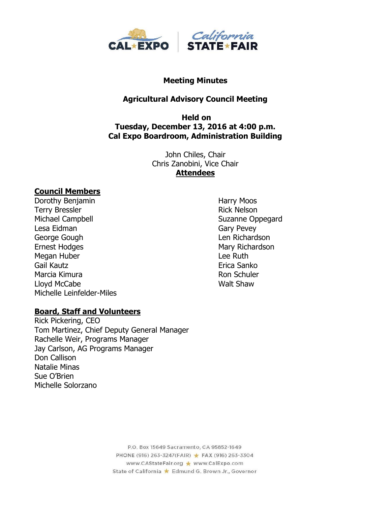

#### **Meeting Minutes**

## **Agricultural Advisory Council Meeting**

## **Held on Tuesday, December 13, 2016 at 4:00 p.m. Cal Expo Boardroom, Administration Building**

John Chiles, Chair Chris Zanobini, Vice Chair **Attendees**

#### **Council Members**

Dorothy Benjamin **Harry Moos** Terry Bressler **Rick Nelson** Rick Nelson Michael Campbell **Suzanne Oppegard** Lesa Eidman Gary Pevey George Gough **Len Richardson** Ernest Hodges **Mary Richardson** Megan Huber **Lee Ruth** Gail Kautz **Existence Sanko** Erica Sanko Marcia Kimura **Romana Romana Romana Romana Romana** Romana Romana Romana Romana Romana Romana Romana Romana Romana Lloyd McCabe Walt Shaw Michelle Leinfelder-Miles

#### **Board, Staff and Volunteers**

Rick Pickering, CEO Tom Martinez, Chief Deputy General Manager Rachelle Weir, Programs Manager Jay Carlson, AG Programs Manager Don Callison Natalie Minas Sue O'Brien Michelle Solorzano

P.O. Box 15649 Sacramento, CA 95852-1649 PHONE (916) 263-3247(FAIR) ★ FAX (916) 263-3304 www.CAStateFair.org ★ www.CalExpo.com State of California \* Edmund G. Brown Jr., Governor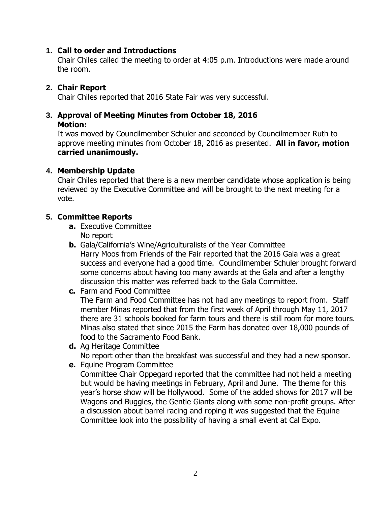## **1. Call to order and Introductions**

Chair Chiles called the meeting to order at 4:05 p.m. Introductions were made around the room.

## **2. Chair Report**

Chair Chiles reported that 2016 State Fair was very successful.

# **3. Approval of Meeting Minutes from October 18, 2016**

## **Motion:**

It was moved by Councilmember Schuler and seconded by Councilmember Ruth to approve meeting minutes from October 18, 2016 as presented. **All in favor, motion carried unanimously.**

## **4. Membership Update**

Chair Chiles reported that there is a new member candidate whose application is being reviewed by the Executive Committee and will be brought to the next meeting for a vote.

## **5. Committee Reports**

- **a.** Executive Committee No report
- **b.** Gala/California's Wine/Agriculturalists of the Year Committee Harry Moos from Friends of the Fair reported that the 2016 Gala was a great success and everyone had a good time. Councilmember Schuler brought forward some concerns about having too many awards at the Gala and after a lengthy discussion this matter was referred back to the Gala Committee.
- **c.** Farm and Food Committee The Farm and Food Committee has not had any meetings to report from. Staff member Minas reported that from the first week of April through May 11, 2017 there are 31 schools booked for farm tours and there is still room for more tours. Minas also stated that since 2015 the Farm has donated over 18,000 pounds of food to the Sacramento Food Bank.
- **d.** Ag Heritage Committee No report other than the breakfast was successful and they had a new sponsor.
- **e.** Equine Program Committee Committee Chair Oppegard reported that the committee had not held a meeting but would be having meetings in February, April and June. The theme for this year's horse show will be Hollywood. Some of the added shows for 2017 will be Wagons and Buggies, the Gentle Giants along with some non-profit groups. After a discussion about barrel racing and roping it was suggested that the Equine Committee look into the possibility of having a small event at Cal Expo.